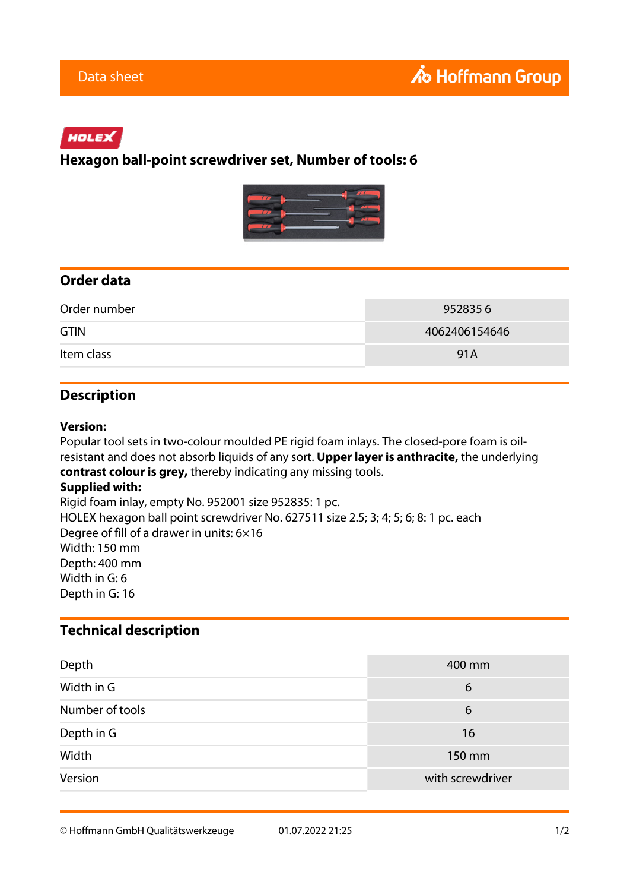# HOLEX

### **Hexagon ball-point screwdriver set, Number of tools: 6**



## **Order data**

| Order number | 9528356       |
|--------------|---------------|
| <b>GTIN</b>  | 4062406154646 |
| Item class   | 91A           |

### **Description**

#### **Version:**

Popular tool sets in two-colour moulded PE rigid foam inlays. The closed-pore foam is oilresistant and does not absorb liquids of any sort. **Upper layer is anthracite,** the underlying **contrast colour is grey,** thereby indicating any missing tools.

#### **Supplied with:**

Rigid foam inlay, empty No. 952001 size 952835: 1 pc. HOLEX hexagon ball point screwdriver No. 627511 size 2.5; 3; 4; 5; 6; 8: 1 pc. each Degree of fill of a drawer in units: 6×16 Width: 150 mm Depth: 400 mm Width in G: 6 Depth in G: 16

### **Technical description**

| Depth           | 400 mm           |
|-----------------|------------------|
| Width in G      | 6                |
| Number of tools | 6                |
| Depth in G      | 16               |
| Width           | 150 mm           |
| Version         | with screwdriver |